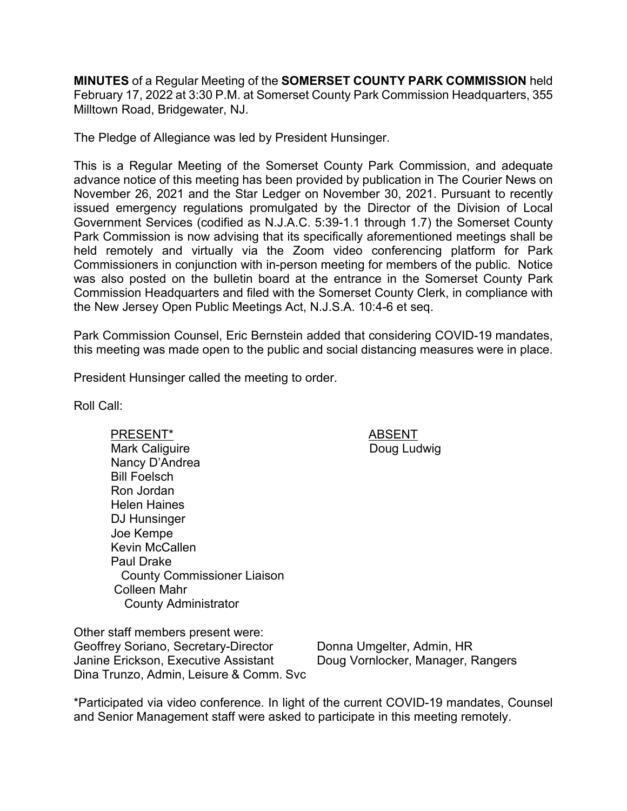**MINUTES** of a Regular Meeting of the **SOMERSET COUNTY PARK COMMISSION** held February 17, 2022 at 3:30 P.M. at Somerset County Park Commission Headquarters, 355 Milltown Road, Bridgewater, NJ.

The Pledge of Allegiance was led by President Hunsinger.

This is a Regular Meeting of the Somerset County Park Commission, and adequate advance notice of this meeting has been provided by publication in The Courier News on November 26, 2021 and the Star Ledger on November 30, 2021. Pursuant to recently issued emergency regulations promulgated by the Director of the Division of Local Government Services (codified as N.J.A.C. 5:39-1.1 through 1.7) the Somerset County Park Commission is now advising that its specifically aforementioned meetings shall be held remotely and virtually via the Zoom video conferencing platform for Park Commissioners in conjunction with in-person meeting for members of the public. Notice was also posted on the bulletin board at the entrance in the Somerset County Park Commission Headquarters and filed with the Somerset County Clerk, in compliance with the New Jersey Open Public Meetings Act, N.J.S.A. 10:4-6 et seq.

Park Commission Counsel, Eric Bernstein added that considering COVID-19 mandates, this meeting was made open to the public and social distancing measures were in place.

President Hunsinger called the meeting to order.

Roll Call:

PRESENT\* ABSENT Mark Caliguire Nancy D'Andrea Bill Foelsch Ron Jordan Helen Haines DJ Hunsinger Joe Kempe Kevin McCallen Paul Drake County Commissioner Liaison Colleen Mahr County Administrator

Doug Ludwig

Other staff members present were: Geoffrey Soriano, Secretary-Director Janine Erickson, Executive Assistant Dina Trunzo, Admin, Leisure & Comm. Svc

Donna Umgelter, Admin, HR Doug Vornlocker, Manager, Rangers

\*Participated via video conference. In light of the current COVID-19 mandates, Counsel and Senior Management staff were asked to participate in this meeting remotely.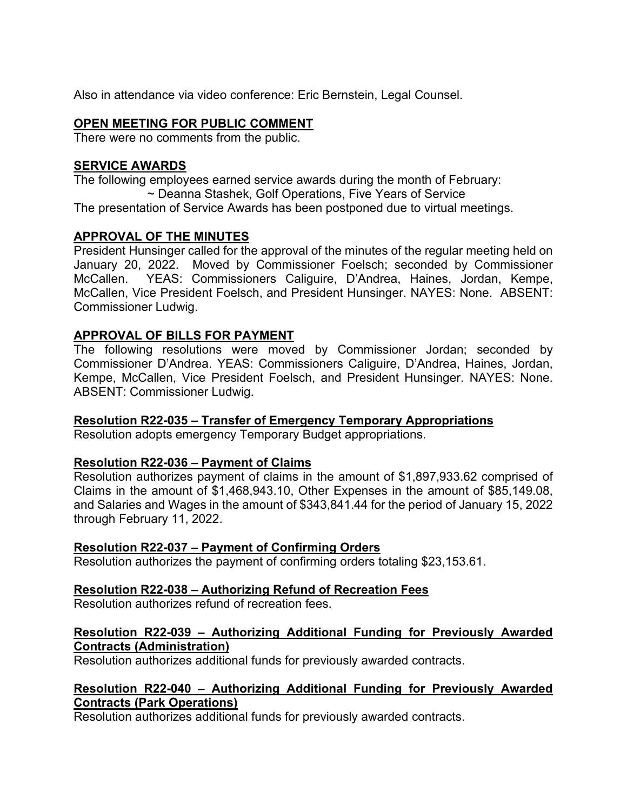Also in attendance via video conference: Eric Bernstein, Legal Counsel.

### **OPEN MEETING FOR PUBLIC COMMENT**

There were no comments from the public.

### **SERVICE AWARDS**

The following employees earned service awards during the month of February: ~ Deanna Stashek, Golf Operations, Five Years of Service The presentation of Service Awards has been postponed due to virtual meetings.

### **APPROVAL OF THE MINUTES**

President Hunsinger called for the approval of the minutes of the regular meeting held on January 20, 2022. Moved by Commissioner Foelsch; seconded by Commissioner McCallen. YEAS: Commissioners Caliguire, D'Andrea, Haines, Jordan, Kempe, McCallen, Vice President Foelsch, and President Hunsinger. NAYES: None. ABSENT: Commissioner Ludwig.

### **APPROVAL OF BILLS FOR PAYMENT**

The following resolutions were moved by Commissioner Jordan; seconded by Commissioner D'Andrea. YEAS: Commissioners Caliguire, D'Andrea, Haines, Jordan, Kempe, McCallen, Vice President Foelsch, and President Hunsinger. NAYES: None. ABSENT: Commissioner Ludwig.

# **Resolution R22-035 – Transfer of Emergency Temporary Appropriations**

Resolution adopts emergency Temporary Budget appropriations.

### **Resolution R22-036 – Payment of Claims**

Resolution authorizes payment of claims in the amount of \$1,897,933.62 comprised of Claims in the amount of \$1,468,943.10, Other Expenses in the amount of \$85,149.08, and Salaries and Wages in the amount of \$343,841.44 for the period of January 15, 2022 through February 11, 2022.

### **Resolution R22-037 – Payment of Confirming Orders**

Resolution authorizes the payment of confirming orders totaling \$23,153.61.

# **Resolution R22-038 – Authorizing Refund of Recreation Fees**

Resolution authorizes refund of recreation fees.

### **Resolution R22-039 – Authorizing Additional Funding for Previously Awarded Contracts (Administration)**

Resolution authorizes additional funds for previously awarded contracts.

### **Resolution R22-040 – Authorizing Additional Funding for Previously Awarded Contracts (Park Operations)**

Resolution authorizes additional funds for previously awarded contracts.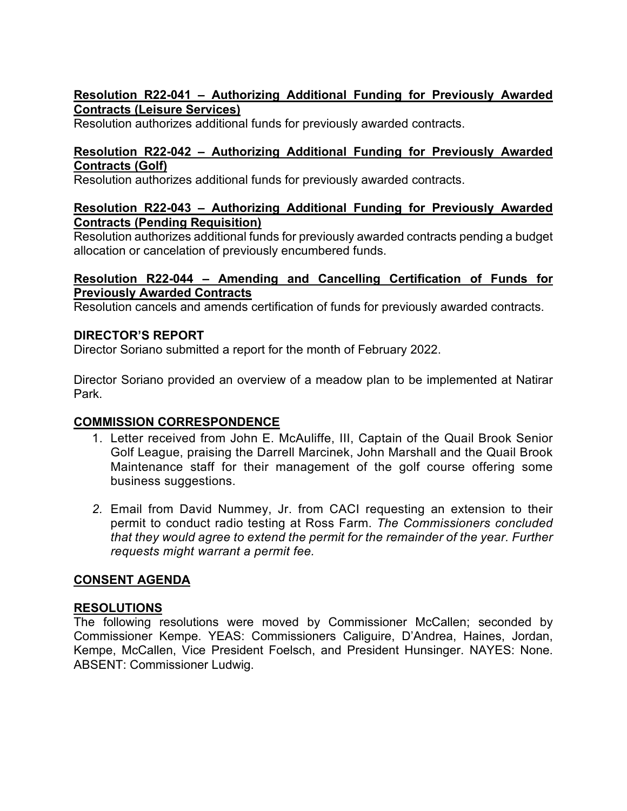# **Resolution R22-041 – Authorizing Additional Funding for Previously Awarded Contracts (Leisure Services)**

Resolution authorizes additional funds for previously awarded contracts.

### **Resolution R22-042 – Authorizing Additional Funding for Previously Awarded Contracts (Golf)**

Resolution authorizes additional funds for previously awarded contracts.

### **Resolution R22-043 – Authorizing Additional Funding for Previously Awarded Contracts (Pending Requisition)**

Resolution authorizes additional funds for previously awarded contracts pending a budget allocation or cancelation of previously encumbered funds.

### **Resolution R22-044 – Amending and Cancelling Certification of Funds for Previously Awarded Contracts**

Resolution cancels and amends certification of funds for previously awarded contracts.

### **DIRECTOR'S REPORT**

Director Soriano submitted a report for the month of February 2022.

Director Soriano provided an overview of a meadow plan to be implemented at Natirar Park.

# **COMMISSION CORRESPONDENCE**

- 1. Letter received from John E. McAuliffe, III, Captain of the Quail Brook Senior Golf League, praising the Darrell Marcinek, John Marshall and the Quail Brook Maintenance staff for their management of the golf course offering some business suggestions.
- *2.* Email from David Nummey, Jr. from CACI requesting an extension to their permit to conduct radio testing at Ross Farm. *The Commissioners concluded that they would agree to extend the permit for the remainder of the year. Further requests might warrant a permit fee.*

# **CONSENT AGENDA**

# **RESOLUTIONS**

The following resolutions were moved by Commissioner McCallen; seconded by Commissioner Kempe. YEAS: Commissioners Caliguire, D'Andrea, Haines, Jordan, Kempe, McCallen, Vice President Foelsch, and President Hunsinger. NAYES: None. ABSENT: Commissioner Ludwig.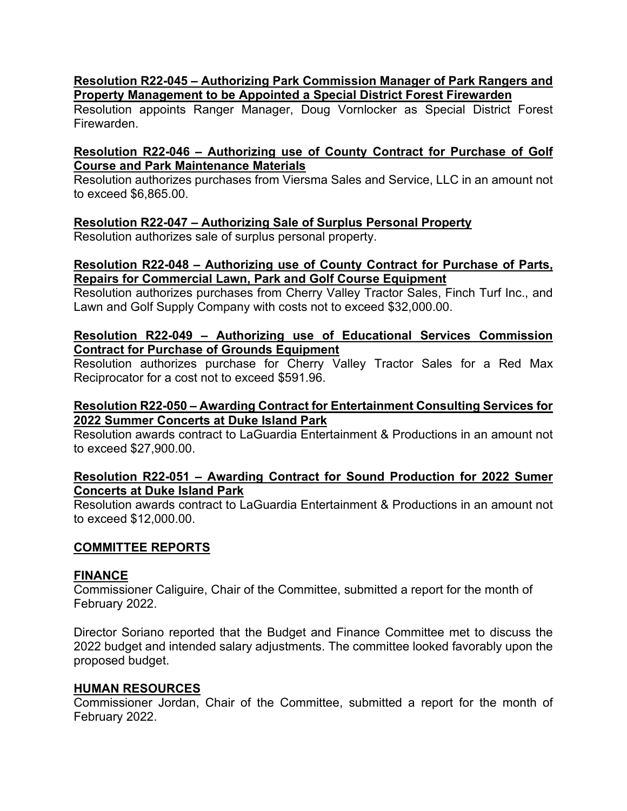### **Resolution R22-045 – Authorizing Park Commission Manager of Park Rangers and Property Management to be Appointed a Special District Forest Firewarden**

Resolution appoints Ranger Manager, Doug Vornlocker as Special District Forest Firewarden.

### **Resolution R22-046 – Authorizing use of County Contract for Purchase of Golf Course and Park Maintenance Materials**

Resolution authorizes purchases from Viersma Sales and Service, LLC in an amount not to exceed \$6,865.00.

### **Resolution R22-047 – Authorizing Sale of Surplus Personal Property**

Resolution authorizes sale of surplus personal property.

### **Resolution R22-048 – Authorizing use of County Contract for Purchase of Parts, Repairs for Commercial Lawn, Park and Golf Course Equipment**

Resolution authorizes purchases from Cherry Valley Tractor Sales, Finch Turf Inc., and Lawn and Golf Supply Company with costs not to exceed \$32,000.00.

#### **Resolution R22-049 – Authorizing use of Educational Services Commission Contract for Purchase of Grounds Equipment**

Resolution authorizes purchase for Cherry Valley Tractor Sales for a Red Max Reciprocator for a cost not to exceed \$591.96.

### **Resolution R22-050 – Awarding Contract for Entertainment Consulting Services for 2022 Summer Concerts at Duke Island Park**

Resolution awards contract to LaGuardia Entertainment & Productions in an amount not to exceed \$27,900.00.

### **Resolution R22-051 – Awarding Contract for Sound Production for 2022 Sumer Concerts at Duke Island Park**

Resolution awards contract to LaGuardia Entertainment & Productions in an amount not to exceed \$12,000.00.

### **COMMITTEE REPORTS**

### **FINANCE**

Commissioner Caliguire, Chair of the Committee, submitted a report for the month of February 2022.

Director Soriano reported that the Budget and Finance Committee met to discuss the 2022 budget and intended salary adjustments. The committee looked favorably upon the proposed budget.

### **HUMAN RESOURCES**

Commissioner Jordan, Chair of the Committee, submitted a report for the month of February 2022.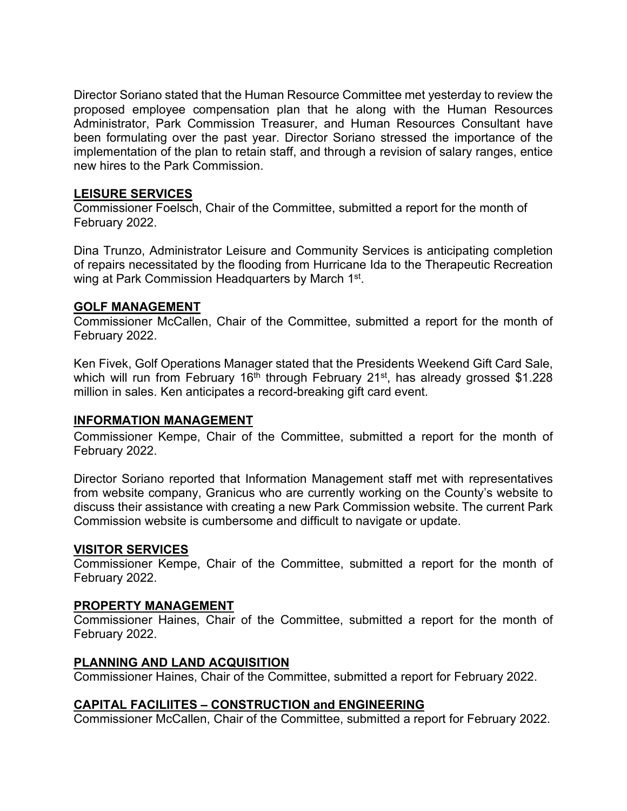Director Soriano stated that the Human Resource Committee met yesterday to review the proposed employee compensation plan that he along with the Human Resources Administrator, Park Commission Treasurer, and Human Resources Consultant have been formulating over the past year. Director Soriano stressed the importance of the implementation of the plan to retain staff, and through a revision of salary ranges, entice new hires to the Park Commission.

### **LEISURE SERVICES**

Commissioner Foelsch, Chair of the Committee, submitted a report for the month of February 2022.

Dina Trunzo, Administrator Leisure and Community Services is anticipating completion of repairs necessitated by the flooding from Hurricane Ida to the Therapeutic Recreation wing at Park Commission Headquarters by March 1<sup>st</sup>.

### **GOLF MANAGEMENT**

Commissioner McCallen, Chair of the Committee, submitted a report for the month of February 2022.

Ken Fivek, Golf Operations Manager stated that the Presidents Weekend Gift Card Sale, which will run from February 16<sup>th</sup> through February 21<sup>st</sup>, has already grossed \$1.228 million in sales. Ken anticipates a record-breaking gift card event.

### **INFORMATION MANAGEMENT**

Commissioner Kempe, Chair of the Committee, submitted a report for the month of February 2022.

Director Soriano reported that Information Management staff met with representatives from website company, Granicus who are currently working on the County's website to discuss their assistance with creating a new Park Commission website. The current Park Commission website is cumbersome and difficult to navigate or update.

### **VISITOR SERVICES**

Commissioner Kempe, Chair of the Committee, submitted a report for the month of February 2022.

### **PROPERTY MANAGEMENT**

Commissioner Haines, Chair of the Committee, submitted a report for the month of February 2022.

### **PLANNING AND LAND ACQUISITION**

Commissioner Haines, Chair of the Committee, submitted a report for February 2022.

# **CAPITAL FACILIITES – CONSTRUCTION and ENGINEERING**

Commissioner McCallen, Chair of the Committee, submitted a report for February 2022.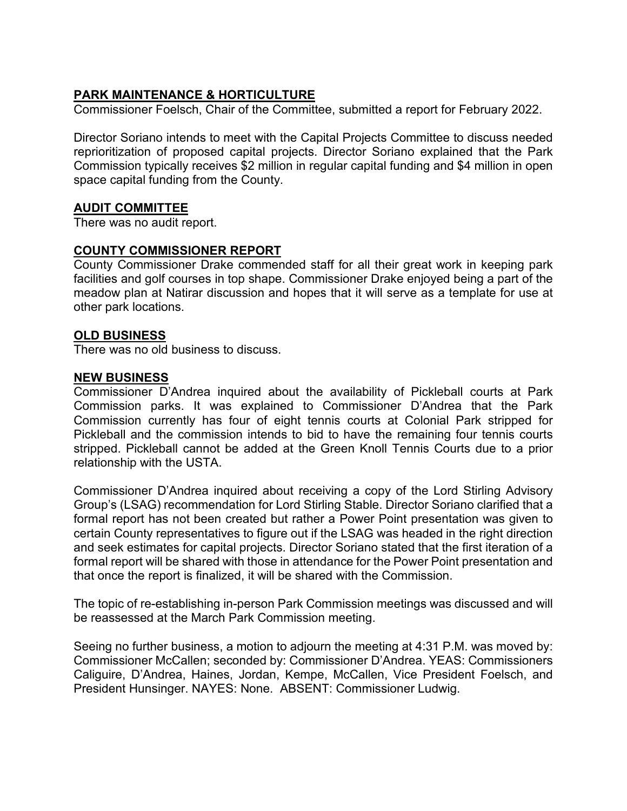# **PARK MAINTENANCE & HORTICULTURE**

Commissioner Foelsch, Chair of the Committee, submitted a report for February 2022.

Director Soriano intends to meet with the Capital Projects Committee to discuss needed reprioritization of proposed capital projects. Director Soriano explained that the Park Commission typically receives \$2 million in regular capital funding and \$4 million in open space capital funding from the County.

### **AUDIT COMMITTEE**

There was no audit report.

### **COUNTY COMMISSIONER REPORT**

County Commissioner Drake commended staff for all their great work in keeping park facilities and golf courses in top shape. Commissioner Drake enjoyed being a part of the meadow plan at Natirar discussion and hopes that it will serve as a template for use at other park locations.

#### **OLD BUSINESS**

There was no old business to discuss.

#### **NEW BUSINESS**

Commissioner D'Andrea inquired about the availability of Pickleball courts at Park Commission parks. It was explained to Commissioner D'Andrea that the Park Commission currently has four of eight tennis courts at Colonial Park stripped for Pickleball and the commission intends to bid to have the remaining four tennis courts stripped. Pickleball cannot be added at the Green Knoll Tennis Courts due to a prior relationship with the USTA.

Commissioner D'Andrea inquired about receiving a copy of the Lord Stirling Advisory Group's (LSAG) recommendation for Lord Stirling Stable. Director Soriano clarified that a formal report has not been created but rather a Power Point presentation was given to certain County representatives to figure out if the LSAG was headed in the right direction and seek estimates for capital projects. Director Soriano stated that the first iteration of a formal report will be shared with those in attendance for the Power Point presentation and that once the report is finalized, it will be shared with the Commission.

The topic of re-establishing in-person Park Commission meetings was discussed and will be reassessed at the March Park Commission meeting.

Seeing no further business, a motion to adjourn the meeting at 4:31 P.M. was moved by: Commissioner McCallen; seconded by: Commissioner D'Andrea. YEAS: Commissioners Caliguire, D'Andrea, Haines, Jordan, Kempe, McCallen, Vice President Foelsch, and President Hunsinger. NAYES: None. ABSENT: Commissioner Ludwig.